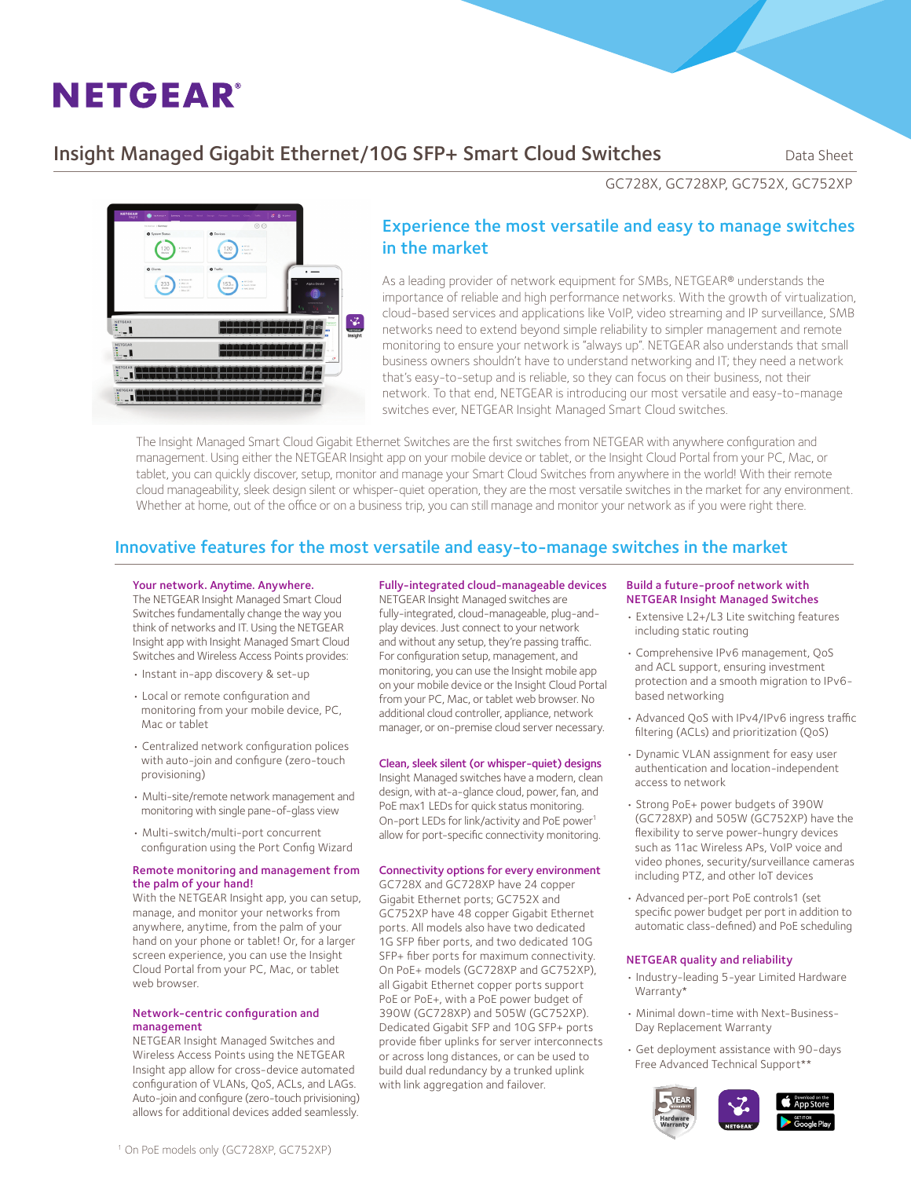# **NETGEAR®**

## Insight Managed Gigabit Ethernet/10G SFP+ Smart Cloud Switches Data Sheet



## Experience the most versatile and easy to manage switches in the market

As a leading provider of network equipment for SMBs, NETGEAR® understands the importance of reliable and high performance networks. With the growth of virtualization, cloud-based services and applications like VoIP, video streaming and IP surveillance, SMB networks need to extend beyond simple reliability to simpler management and remote monitoring to ensure your network is "always up". NETGEAR also understands that small business owners shouldn't have to understand networking and IT; they need a network that's easy-to-setup and is reliable, so they can focus on their business, not their network. To that end, NETGEAR is introducing our most versatile and easy-to-manage switches ever, NETGEAR Insight Managed Smart Cloud switches.

The Insight Managed Smart Cloud Gigabit Ethernet Switches are the first switches from NETGEAR with anywhere configuration and management. Using either the NETGEAR Insight app on your mobile device or tablet, or the Insight Cloud Portal from your PC, Mac, or tablet, you can quickly discover, setup, monitor and manage your Smart Cloud Switches from anywhere in the world! With their remote cloud manageability, sleek design silent or whisper-quiet operation, they are the most versatile switches in the market for any environment. Whether at home, out of the office or on a business trip, you can still manage and monitor your network as if you were right there.

## Innovative features for the most versatile and easy-to-manage switches in the market

#### Your network. Anytime. Anywhere.

The NETGEAR Insight Managed Smart Cloud Switches fundamentally change the way you think of networks and IT. Using the NETGEAR Insight app with Insight Managed Smart Cloud Switches and Wireless Access Points provides:

- Instant in-app discovery & set-up
- Local or remote configuration and monitoring from your mobile device, PC, Mac or tablet
- Centralized network configuration polices with auto-join and configure (zero-touch provisioning)
- Multi-site/remote network management and monitoring with single pane-of-glass view
- Multi-switch/multi-port concurrent configuration using the Port Config Wizard

#### Remote monitoring and management from the palm of your hand!

With the NETGEAR Insight app, you can setup, manage, and monitor your networks from anywhere, anytime, from the palm of your hand on your phone or tablet! Or, for a larger screen experience, you can use the Insight Cloud Portal from your PC, Mac, or tablet web browser.

#### Network-centric configuration and management

NETGEAR Insight Managed Switches and Wireless Access Points using the NETGEAR Insight app allow for cross-device automated configuration of VLANs, QoS, ACLs, and LAGs. Auto-join and configure (zero-touch privisioning) allows for additional devices added seamlessly.

### Fully-integrated cloud-manageable devices

NETGEAR Insight Managed switches are fully-integrated, cloud-manageable, plug-andplay devices. Just connect to your network and without any setup, they're passing traffic. For configuration setup, management, and monitoring, you can use the Insight mobile app on your mobile device or the Insight Cloud Portal from your PC, Mac, or tablet web browser. No additional cloud controller, appliance, network manager, or on-premise cloud server necessary.

#### Clean, sleek silent (or whisper-quiet) designs

Insight Managed switches have a modern, clean design, with at-a-glance cloud, power, fan, and PoE max1 LEDs for quick status monitoring. On-port LEDs for link/activity and PoE power<sup>1</sup> allow for port-specific connectivity monitoring.

#### Connectivity options for every environment

GC728X and GC728XP have 24 copper Gigabit Ethernet ports; GC752X and GC752XP have 48 copper Gigabit Ethernet ports. All models also have two dedicated 1G SFP fiber ports, and two dedicated 10G SFP+ fiber ports for maximum connectivity. On PoE+ models (GC728XP and GC752XP), all Gigabit Ethernet copper ports support PoE or PoE+, with a PoE power budget of 390W (GC728XP) and 505W (GC752XP). Dedicated Gigabit SFP and 10G SFP+ ports provide fiber uplinks for server interconnects or across long distances, or can be used to build dual redundancy by a trunked uplink with link aggregation and failover.

#### Build a future-proof network with NETGEAR Insight Managed Switches

• Extensive L2+/L3 Lite switching features including static routing

GC728X, GC728XP, GC752X, GC752XP

- Comprehensive IPv6 management, QoS and ACL support, ensuring investment protection and a smooth migration to IPv6 based networking
- Advanced QoS with IPv4/IPv6 ingress traffic filtering (ACLs) and prioritization (QoS)
- Dynamic VLAN assignment for easy user authentication and location-independent access to network
- Strong PoE+ power budgets of 390W (GC728XP) and 505W (GC752XP) have the flexibility to serve power-hungry devices such as 11ac Wireless APs, VoIP voice and video phones, security/surveillance cameras including PTZ, and other IoT devices
- Advanced per-port PoE controls1 (set specific power budget per port in addition to automatic class-defined) and PoE scheduling

#### NETGEAR quality and reliability

- Industry-leading 5-year Limited Hardware Warranty\*
- Minimal down-time with Next-Business-Day Replacement Warranty
- Get deployment assistance with 90-days Free Advanced Technical Support\*\*